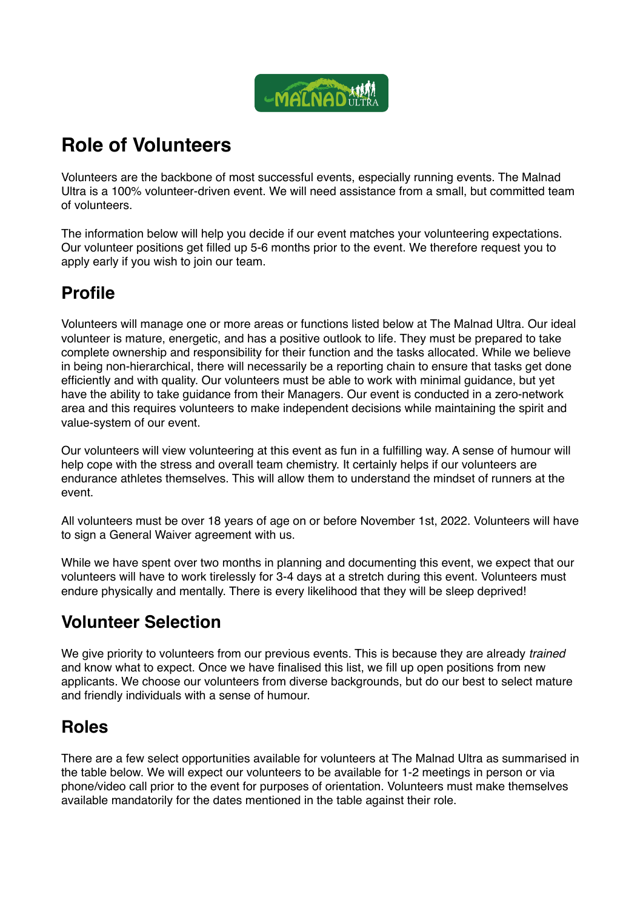

# **Role of Volunteers**

Volunteers are the backbone of most successful events, especially running events. The Malnad Ultra is a 100% volunteer-driven event. We will need assistance from a small, but committed team of volunteers.

The information below will help you decide if our event matches your volunteering expectations. Our volunteer positions get filled up 5-6 months prior to the event. We therefore request you to apply early if you wish to join our team.

### **Profile**

Volunteers will manage one or more areas or functions listed below at The Malnad Ultra. Our ideal volunteer is mature, energetic, and has a positive outlook to life. They must be prepared to take complete ownership and responsibility for their function and the tasks allocated. While we believe in being non-hierarchical, there will necessarily be a reporting chain to ensure that tasks get done efficiently and with quality. Our volunteers must be able to work with minimal guidance, but yet have the ability to take guidance from their Managers. Our event is conducted in a zero-network area and this requires volunteers to make independent decisions while maintaining the spirit and value-system of our event.

Our volunteers will view volunteering at this event as fun in a fulfilling way. A sense of humour will help cope with the stress and overall team chemistry. It certainly helps if our volunteers are endurance athletes themselves. This will allow them to understand the mindset of runners at the event.

All volunteers must be over 18 years of age on or before November 1st, 2022. Volunteers will have to sign a General Waiver agreement with us.

While we have spent over two months in planning and documenting this event, we expect that our volunteers will have to work tirelessly for 3-4 days at a stretch during this event. Volunteers must endure physically and mentally. There is every likelihood that they will be sleep deprived!

## **Volunteer Selection**

We give priority to volunteers from our previous events. This is because they are already *trained* and know what to expect. Once we have finalised this list, we fill up open positions from new applicants. We choose our volunteers from diverse backgrounds, but do our best to select mature and friendly individuals with a sense of humour.

#### **Roles**

There are a few select opportunities available for volunteers at The Malnad Ultra as summarised in the table below. We will expect our volunteers to be available for 1-2 meetings in person or via phone/video call prior to the event for purposes of orientation. Volunteers must make themselves available mandatorily for the dates mentioned in the table against their role.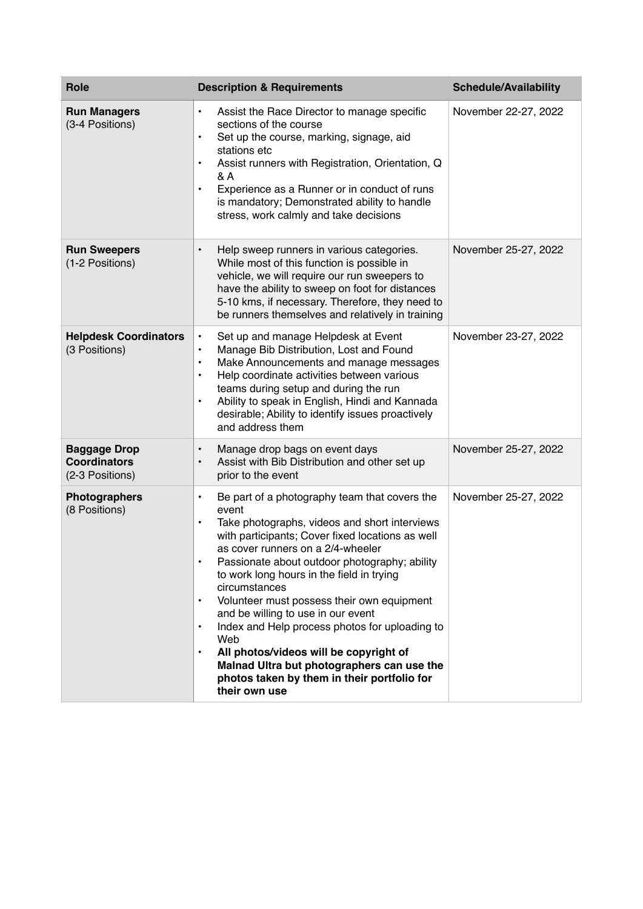| <b>Role</b>                                                   | <b>Description &amp; Requirements</b>                                                                                                                                                                                                                                                                                                                                                                                                                                                                                                                                                                                                                                                 | <b>Schedule/Availability</b> |
|---------------------------------------------------------------|---------------------------------------------------------------------------------------------------------------------------------------------------------------------------------------------------------------------------------------------------------------------------------------------------------------------------------------------------------------------------------------------------------------------------------------------------------------------------------------------------------------------------------------------------------------------------------------------------------------------------------------------------------------------------------------|------------------------------|
| <b>Run Managers</b><br>(3-4 Positions)                        | Assist the Race Director to manage specific<br>$\bullet$<br>sections of the course<br>Set up the course, marking, signage, aid<br>$\bullet$<br>stations etc<br>Assist runners with Registration, Orientation, Q<br>$\bullet$<br>& A<br>Experience as a Runner or in conduct of runs<br>$\bullet$<br>is mandatory; Demonstrated ability to handle<br>stress, work calmly and take decisions                                                                                                                                                                                                                                                                                            | November 22-27, 2022         |
| <b>Run Sweepers</b><br>(1-2 Positions)                        | Help sweep runners in various categories.<br>$\bullet$<br>While most of this function is possible in<br>vehicle, we will require our run sweepers to<br>have the ability to sweep on foot for distances<br>5-10 kms, if necessary. Therefore, they need to<br>be runners themselves and relatively in training                                                                                                                                                                                                                                                                                                                                                                        | November 25-27, 2022         |
| <b>Helpdesk Coordinators</b><br>(3 Positions)                 | Set up and manage Helpdesk at Event<br>$\bullet$<br>Manage Bib Distribution, Lost and Found<br>$\bullet$<br>Make Announcements and manage messages<br>$\bullet$<br>Help coordinate activities between various<br>$\bullet$<br>teams during setup and during the run<br>Ability to speak in English, Hindi and Kannada<br>$\bullet$<br>desirable; Ability to identify issues proactively<br>and address them                                                                                                                                                                                                                                                                           | November 23-27, 2022         |
| <b>Baggage Drop</b><br><b>Coordinators</b><br>(2-3 Positions) | Manage drop bags on event days<br>$\bullet$<br>Assist with Bib Distribution and other set up<br>prior to the event                                                                                                                                                                                                                                                                                                                                                                                                                                                                                                                                                                    | November 25-27, 2022         |
| <b>Photographers</b><br>(8 Positions)                         | Be part of a photography team that covers the<br>$\bullet$<br>event<br>Take photographs, videos and short interviews<br>$\bullet$<br>with participants; Cover fixed locations as well<br>as cover runners on a 2/4-wheeler<br>Passionate about outdoor photography; ability<br>to work long hours in the field in trying<br>circumstances<br>Volunteer must possess their own equipment<br>$\bullet$<br>and be willing to use in our event<br>Index and Help process photos for uploading to<br>$\bullet$<br>Web<br>All photos/videos will be copyright of<br>$\bullet$<br>Malnad Ultra but photographers can use the<br>photos taken by them in their portfolio for<br>their own use | November 25-27, 2022         |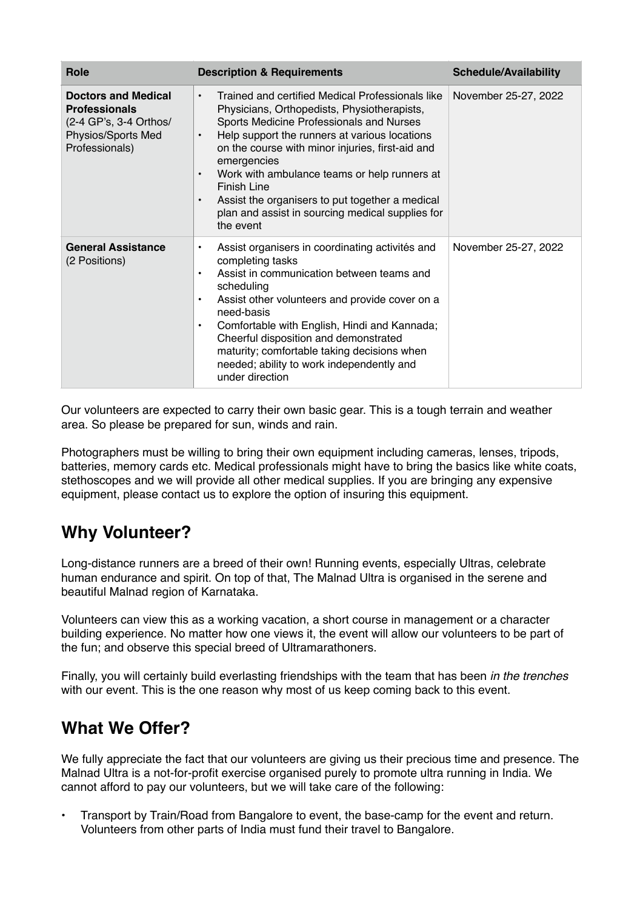| Role                                                                                                                 | <b>Description &amp; Requirements</b>                                                                                                                                                                                                                                                                                                                                                                                                                                                                  | <b>Schedule/Availability</b> |
|----------------------------------------------------------------------------------------------------------------------|--------------------------------------------------------------------------------------------------------------------------------------------------------------------------------------------------------------------------------------------------------------------------------------------------------------------------------------------------------------------------------------------------------------------------------------------------------------------------------------------------------|------------------------------|
| <b>Doctors and Medical</b><br><b>Professionals</b><br>(2-4 GP's, 3-4 Orthos/<br>Physios/Sports Med<br>Professionals) | Trained and certified Medical Professionals like<br>$\bullet$<br>Physicians, Orthopedists, Physiotherapists,<br>Sports Medicine Professionals and Nurses<br>Help support the runners at various locations<br>$\bullet$<br>on the course with minor injuries, first-aid and<br>emergencies<br>Work with ambulance teams or help runners at<br>$\bullet$<br>Finish Line<br>Assist the organisers to put together a medical<br>$\bullet$<br>plan and assist in sourcing medical supplies for<br>the event | November 25-27, 2022         |
| <b>General Assistance</b><br>(2 Positions)                                                                           | Assist organisers in coordinating activités and<br>$\bullet$<br>completing tasks<br>Assist in communication between teams and<br>$\bullet$<br>scheduling<br>Assist other volunteers and provide cover on a<br>$\bullet$<br>need-basis<br>Comfortable with English, Hindi and Kannada;<br>$\bullet$<br>Cheerful disposition and demonstrated<br>maturity; comfortable taking decisions when<br>needed; ability to work independently and<br>under direction                                             | November 25-27, 2022         |

Our volunteers are expected to carry their own basic gear. This is a tough terrain and weather area. So please be prepared for sun, winds and rain.

Photographers must be willing to bring their own equipment including cameras, lenses, tripods, batteries, memory cards etc. Medical professionals might have to bring the basics like white coats, stethoscopes and we will provide all other medical supplies. If you are bringing any expensive equipment, please contact us to explore the option of insuring this equipment.

#### **Why Volunteer?**

Long-distance runners are a breed of their own! Running events, especially Ultras, celebrate human endurance and spirit. On top of that, The Malnad Ultra is organised in the serene and beautiful Malnad region of Karnataka.

Volunteers can view this as a working vacation, a short course in management or a character building experience. No matter how one views it, the event will allow our volunteers to be part of the fun; and observe this special breed of Ultramarathoners.

Finally, you will certainly build everlasting friendships with the team that has been *in the trenches*  with our event. This is the one reason why most of us keep coming back to this event.

#### **What We Offer?**

We fully appreciate the fact that our volunteers are giving us their precious time and presence. The Malnad Ultra is a not-for-profit exercise organised purely to promote ultra running in India. We cannot afford to pay our volunteers, but we will take care of the following:

• Transport by Train/Road from Bangalore to event, the base-camp for the event and return. Volunteers from other parts of India must fund their travel to Bangalore.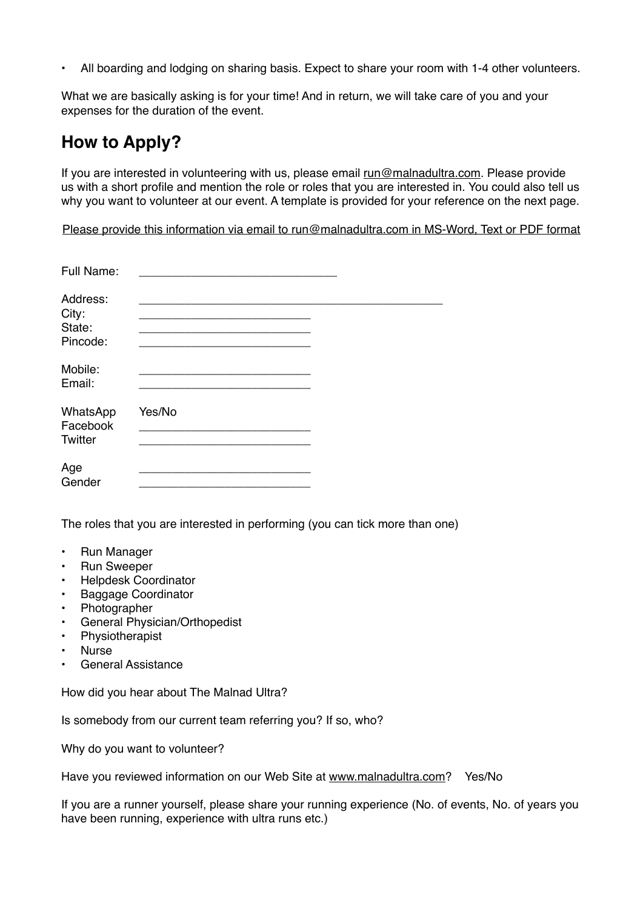• All boarding and lodging on sharing basis. Expect to share your room with 1-4 other volunteers.

What we are basically asking is for your time! And in return, we will take care of you and your expenses for the duration of the event.

#### **How to Apply?**

If you are interested in volunteering with us, please email [run@malnadultra.com](mailto:run@malnadultra.com). Please provide us with a short profile and mention the role or roles that you are interested in. You could also tell us why you want to volunteer at our event. A template is provided for your reference on the next page.

Please provide this information via email to [run@malnadultra.com](mailto:run@malnadultra.com) in MS-Word, Text or PDF format

| Full Name:                              |        |  |
|-----------------------------------------|--------|--|
| Address:<br>City:<br>State:<br>Pincode: |        |  |
| Mobile:<br>Email:                       |        |  |
| WhatsApp<br>Facebook<br>Twitter         | Yes/No |  |
| Age<br>Gender                           |        |  |

The roles that you are interested in performing (you can tick more than one)

- Run Manager
- Run Sweeper
- Helpdesk Coordinator
- Baggage Coordinator
- Photographer
- General Physician/Orthopedist<br>• Physiotheranist
- **Physiotherapist**
- Nurse
- General Assistance

How did you hear about The Malnad Ultra?

Is somebody from our current team referring you? If so, who?

Why do you want to volunteer?

Have you reviewed information on our Web Site at [www.malnadultra.com](http://www.malnadultra.com)? Yes/No

If you are a runner yourself, please share your running experience (No. of events, No. of years you have been running, experience with ultra runs etc.)